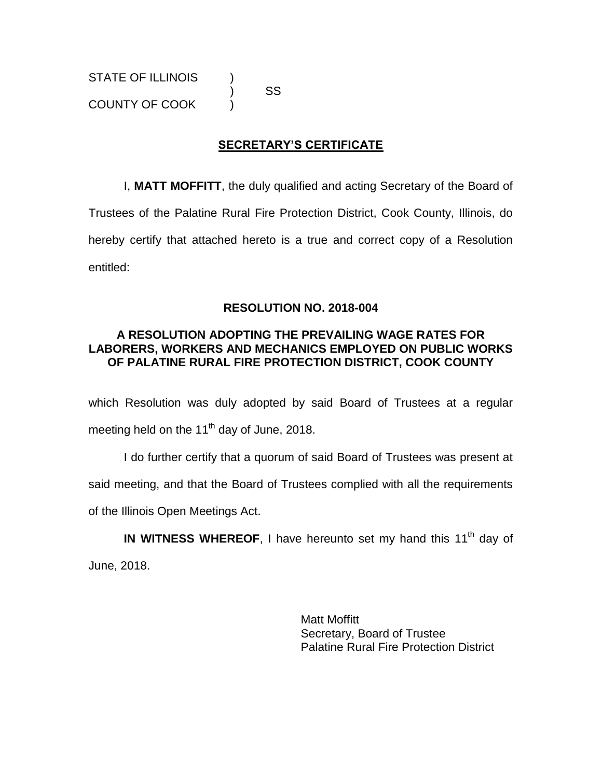) SS

# **SECRETARY'S CERTIFICATE**

I, **MATT MOFFITT**, the duly qualified and acting Secretary of the Board of Trustees of the Palatine Rural Fire Protection District, Cook County, Illinois, do hereby certify that attached hereto is a true and correct copy of a Resolution entitled:

### **RESOLUTION NO. 2018-004**

### **A RESOLUTION ADOPTING THE PREVAILING WAGE RATES FOR LABORERS, WORKERS AND MECHANICS EMPLOYED ON PUBLIC WORKS OF PALATINE RURAL FIRE PROTECTION DISTRICT, COOK COUNTY**

which Resolution was duly adopted by said Board of Trustees at a regular meeting held on the 11<sup>th</sup> day of June, 2018.

I do further certify that a quorum of said Board of Trustees was present at said meeting, and that the Board of Trustees complied with all the requirements of the Illinois Open Meetings Act.

IN WITNESS WHEREOF, I have hereunto set my hand this 11<sup>th</sup> day of June, 2018.

> Matt Moffitt Secretary, Board of Trustee Palatine Rural Fire Protection District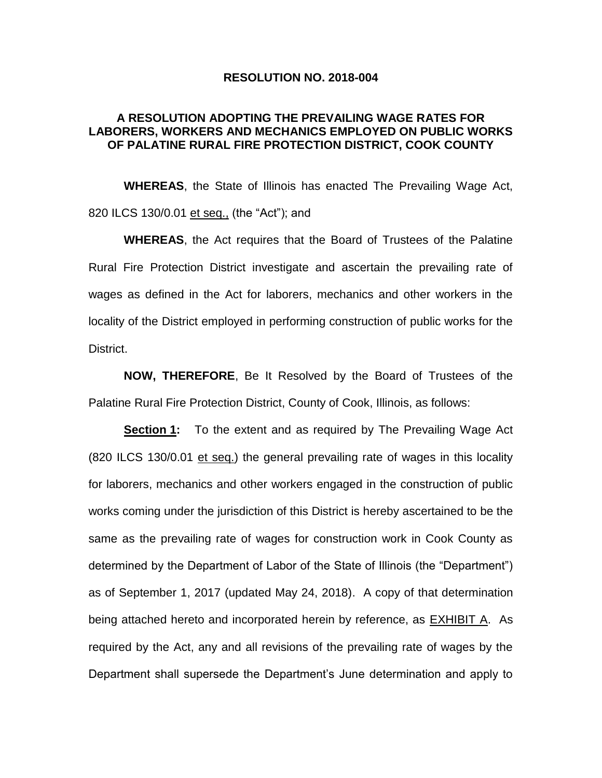#### **RESOLUTION NO. 2018-004**

### **A RESOLUTION ADOPTING THE PREVAILING WAGE RATES FOR LABORERS, WORKERS AND MECHANICS EMPLOYED ON PUBLIC WORKS OF PALATINE RURAL FIRE PROTECTION DISTRICT, COOK COUNTY**

**WHEREAS**, the State of Illinois has enacted The Prevailing Wage Act, 820 ILCS 130/0.01 et seq., (the "Act"); and

**WHEREAS**, the Act requires that the Board of Trustees of the Palatine Rural Fire Protection District investigate and ascertain the prevailing rate of wages as defined in the Act for laborers, mechanics and other workers in the locality of the District employed in performing construction of public works for the District.

**NOW, THEREFORE**, Be It Resolved by the Board of Trustees of the Palatine Rural Fire Protection District, County of Cook, Illinois, as follows:

**Section 1:** To the extent and as required by The Prevailing Wage Act (820 ILCS 130/0.01 et seq.) the general prevailing rate of wages in this locality for laborers, mechanics and other workers engaged in the construction of public works coming under the jurisdiction of this District is hereby ascertained to be the same as the prevailing rate of wages for construction work in Cook County as determined by the Department of Labor of the State of Illinois (the "Department") as of September 1, 2017 (updated May 24, 2018). A copy of that determination being attached hereto and incorporated herein by reference, as **EXHIBIT A.** As required by the Act, any and all revisions of the prevailing rate of wages by the Department shall supersede the Department's June determination and apply to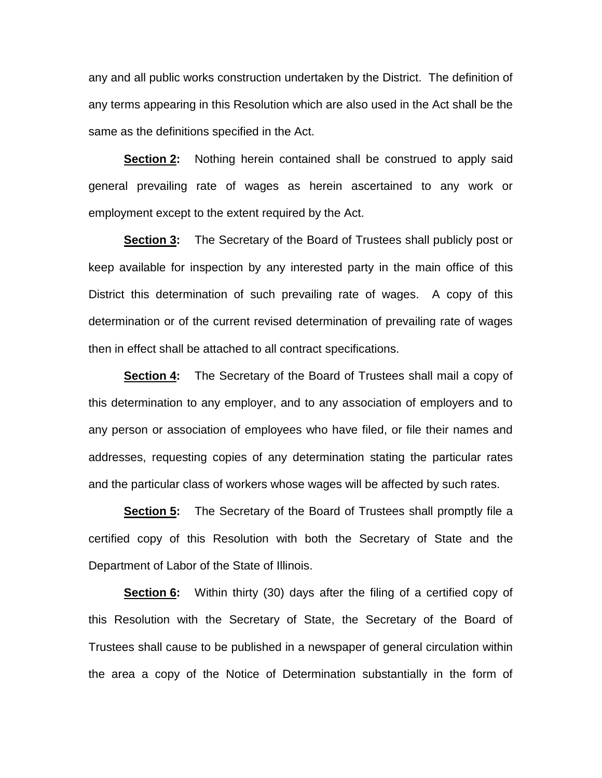any and all public works construction undertaken by the District. The definition of any terms appearing in this Resolution which are also used in the Act shall be the same as the definitions specified in the Act.

**Section 2:** Nothing herein contained shall be construed to apply said general prevailing rate of wages as herein ascertained to any work or employment except to the extent required by the Act.

**Section 3:** The Secretary of the Board of Trustees shall publicly post or keep available for inspection by any interested party in the main office of this District this determination of such prevailing rate of wages. A copy of this determination or of the current revised determination of prevailing rate of wages then in effect shall be attached to all contract specifications.

**Section 4:** The Secretary of the Board of Trustees shall mail a copy of this determination to any employer, and to any association of employers and to any person or association of employees who have filed, or file their names and addresses, requesting copies of any determination stating the particular rates and the particular class of workers whose wages will be affected by such rates.

**Section 5:** The Secretary of the Board of Trustees shall promptly file a certified copy of this Resolution with both the Secretary of State and the Department of Labor of the State of Illinois.

**Section 6:** Within thirty (30) days after the filing of a certified copy of this Resolution with the Secretary of State, the Secretary of the Board of Trustees shall cause to be published in a newspaper of general circulation within the area a copy of the Notice of Determination substantially in the form of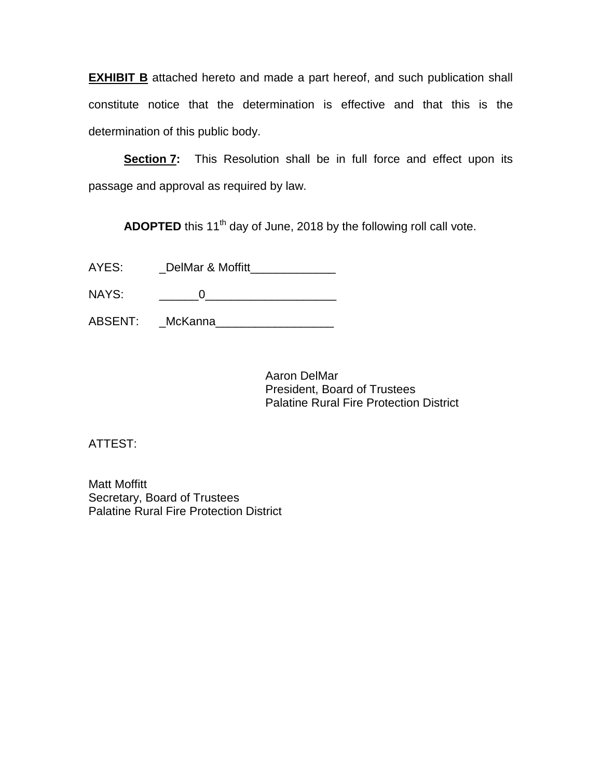**EXHIBIT B** attached hereto and made a part hereof, and such publication shall constitute notice that the determination is effective and that this is the determination of this public body.

**Section 7:** This Resolution shall be in full force and effect upon its passage and approval as required by law.

ADOPTED this 11<sup>th</sup> day of June, 2018 by the following roll call vote.

| AYES: | DelMar & Moffitt |  |
|-------|------------------|--|
|       |                  |  |

NAYS: \_\_\_\_\_\_0\_\_\_\_\_\_\_\_\_\_\_\_\_\_\_\_\_\_\_\_

ABSENT: \_\_McKanna\_\_\_\_\_\_\_\_\_\_\_\_\_\_\_\_\_\_\_

Aaron DelMar President, Board of Trustees Palatine Rural Fire Protection District

ATTEST:

Matt Moffitt Secretary, Board of Trustees Palatine Rural Fire Protection District